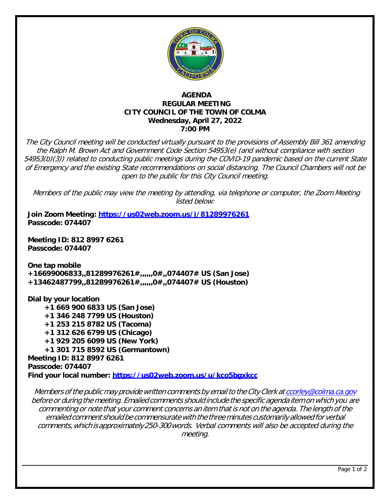

# **AGENDA REGULAR MEETING CITY COUNCIL OF THE TOWN OF COLMA Wednesday, April 27, 2022 7:00 PM**

The City Council meeting will be conducted virtually pursuant to the provisions of Assembly Bill 361 amending the Ralph M. Brown Act and Government Code Section 54953(e) (and without compliance with section 54953(b)(3)) related to conducting public meetings during the COVID-19 pandemic based on the current State of Emergency and the existing State recommendations on social distancing. The Council Chambers will not be open to the public for this City Council meeting.

Members of the public may view the meeting by attending, via telephone or computer, the Zoom Meeting listed below:

**Join Zoom Meeting:<https://us02web.zoom.us/j/81289976261> Passcode: 074407**

**Meeting ID: 812 8997 6261 Passcode: 074407**

**One tap mobile +16699006833,,81289976261#,,,,,,0#,,074407# US (San Jose) +13462487799,,81289976261#,,,,,,0#,,074407# US (Houston)**

**Dial by your location +1 669 900 6833 US (San Jose) +1 346 248 7799 US (Houston) +1 253 215 8782 US (Tacoma) +1 312 626 6799 US (Chicago) +1 929 205 6099 US (New York) +1 301 715 8592 US (Germantown) Meeting ID: 812 8997 6261 Passcode: 074407 Find your local number:<https://us02web.zoom.us/u/kco5bgxkcc>**

Members of the public may provide written comments by email to the City Clerk at [ccorley@colma.ca.gov](mailto:ccorley@colma.ca.gov) before or during the meeting. Emailed comments should include the specific agenda item on which you are commenting or note that your comment concerns an item that is not on the agenda. The length of the emailed comment should be commensurate with the three minutes customarily allowed for verbal comments,which isapproximately250-300words. Verbal comments will also be accepted during the meeting.